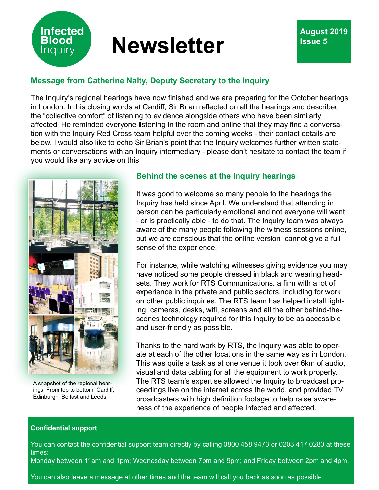

# **Message from Catherine Nalty, Deputy Secretary to the Inquiry**

The Inquiry's regional hearings have now finished and we are preparing for the October hearings in London. In his closing words at Cardiff, Sir Brian reflected on all the hearings and described the "collective comfort" of listening to evidence alongside others who have been similarly affected. He reminded everyone listening in the room and online that they may find a conversation with the Inquiry Red Cross team helpful over the coming weeks - their contact details are below. I would also like to echo Sir Brian's point that the Inquiry welcomes further written statements or conversations with an Inquiry intermediary - please don't hesitate to contact the team if you would like any advice on this.



**Infected Blood Inquiry** 

A snapshot of the regional hearings. From top to bottom: Cardiff, Edinburgh, Belfast and Leeds

### **Behind the scenes at the Inquiry hearings**

It was good to welcome so many people to the hearings the Inquiry has held since April. We understand that attending in person can be particularly emotional and not everyone will want - or is practically able - to do that. The Inquiry team was always aware of the many people following the witness sessions online, but we are conscious that the online version cannot give a full sense of the experience.

For instance, while watching witnesses giving evidence you may have noticed some people dressed in black and wearing headsets. They work for RTS Communications, a firm with a lot of experience in the private and public sectors, including for work on other public inquiries. The RTS team has helped install lighting, cameras, desks, wifi, screens and all the other behind-thescenes technology required for this Inquiry to be as accessible and user-friendly as possible.

Thanks to the hard work by RTS, the Inquiry was able to operate at each of the other locations in the same way as in London. This was quite a task as at one venue it took over 6km of audio, visual and data cabling for all the equipment to work properly. The RTS team's expertise allowed the Inquiry to broadcast proceedings live on the internet across the world, and provided TV broadcasters with high definition footage to help raise awareness of the experience of people infected and affected.

#### **Confidential support**

You can contact the confidential support team directly by calling 0800 458 9473 or 0203 417 0280 at these times:

Monday between 11am and 1pm; Wednesday between 7pm and 9pm; and Friday between 2pm and 4pm.

You can also leave a message at other times and the team will call you back as soon as possible.